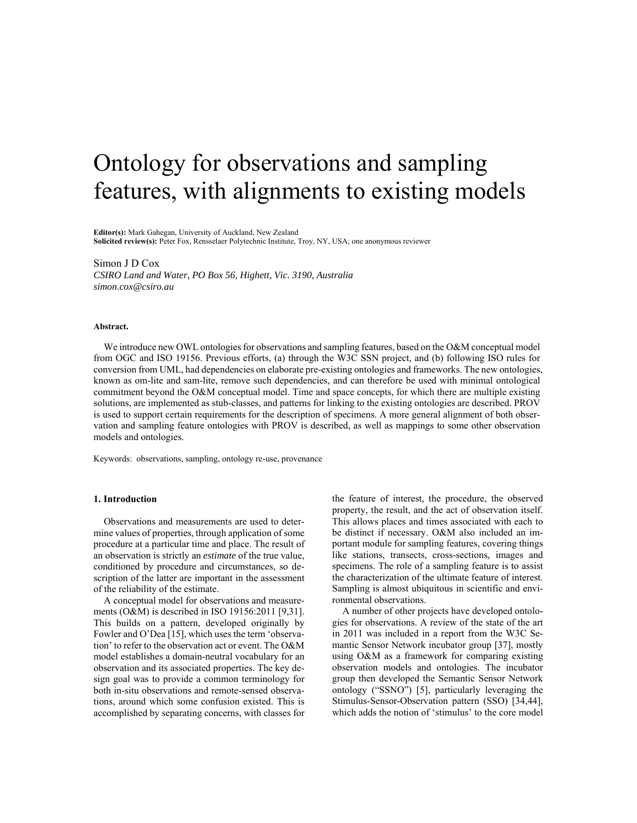# Ontology for observations and sampling features, with alignments to existing models

**Editor(s):** Mark Gahegan, University of Auckland, New Zealand **Solicited review(s):** Peter Fox, Rensselaer Polytechnic Institute, Troy, NY, USA; one anonymous reviewer

Simon J D Cox *CSIRO Land and Water, PO Box 56, Highett, Vic. 3190, Australia simon.cox@csiro.au* 

## **Abstract.**

We introduce new OWL ontologies for observations and sampling features, based on the O&M conceptual model from OGC and ISO 19156. Previous efforts, (a) through the W3C SSN project, and (b) following ISO rules for conversion from UML, had dependencies on elaborate pre-existing ontologies and frameworks. The new ontologies, known as om-lite and sam-lite, remove such dependencies, and can therefore be used with minimal ontological commitment beyond the O&M conceptual model. Time and space concepts, for which there are multiple existing solutions, are implemented as stub-classes, and patterns for linking to the existing ontologies are described. PROV is used to support certain requirements for the description of specimens. A more general alignment of both observation and sampling feature ontologies with PROV is described, as well as mappings to some other observation models and ontologies.

Keywords: observations, sampling, ontology re-use, provenance

#### **1. Introduction**

Observations and measurements are used to determine values of properties, through application of some procedure at a particular time and place. The result of an observation is strictly an *estimate* of the true value, conditioned by procedure and circumstances, so description of the latter are important in the assessment of the reliability of the estimate.

A conceptual model for observations and measurements (O&M) is described in ISO 19156:2011 [9,31]. This builds on a pattern, developed originally by Fowler and O'Dea [15], which uses the term 'observation' to refer to the observation act or event. The O&M model establishes a domain-neutral vocabulary for an observation and its associated properties. The key design goal was to provide a common terminology for both in-situ observations and remote-sensed observations, around which some confusion existed. This is accomplished by separating concerns, with classes for the feature of interest, the procedure, the observed property, the result, and the act of observation itself. This allows places and times associated with each to be distinct if necessary. O&M also included an important module for sampling features, covering things like stations, transects, cross-sections, images and specimens. The role of a sampling feature is to assist the characterization of the ultimate feature of interest. Sampling is almost ubiquitous in scientific and environmental observations.

A number of other projects have developed ontologies for observations. A review of the state of the art in 2011 was included in a report from the W3C Semantic Sensor Network incubator group [37], mostly using O&M as a framework for comparing existing observation models and ontologies. The incubator group then developed the Semantic Sensor Network ontology ("SSNO") [5], particularly leveraging the Stimulus-Sensor-Observation pattern (SSO) [34,44], which adds the notion of 'stimulus' to the core model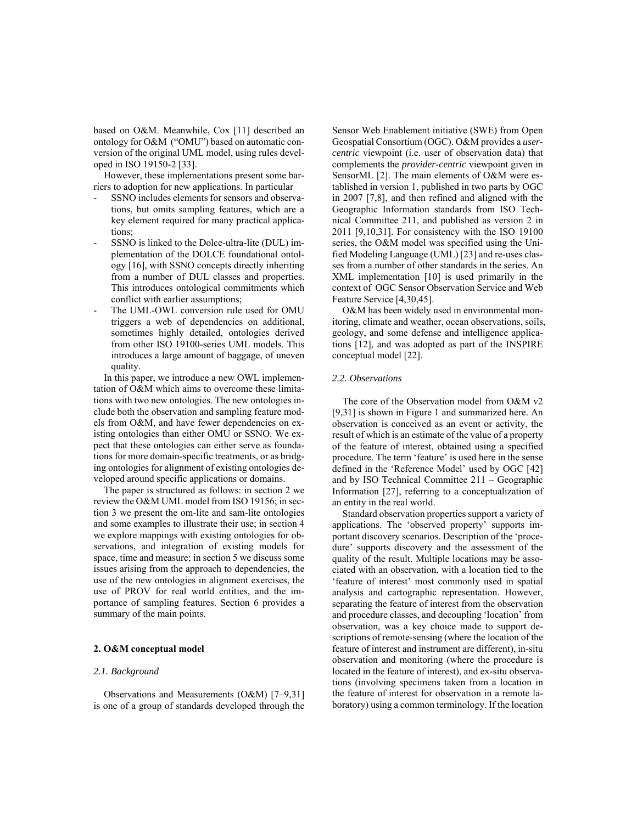based on O&M. Meanwhile, Cox [11] described an ontology for O&M ("OMU") based on automatic conversion of the original UML model, using rules developed in ISO 19150-2 [33].

However, these implementations present some barriers to adoption for new applications. In particular

- SSNO includes elements for sensors and observations, but omits sampling features, which are a key element required for many practical applications;
- SSNO is linked to the Dolce-ultra-lite (DUL) implementation of the DOLCE foundational ontology [16], with SSNO concepts directly inheriting from a number of DUL classes and properties. This introduces ontological commitments which conflict with earlier assumptions;
- The UML-OWL conversion rule used for OMU triggers a web of dependencies on additional, sometimes highly detailed, ontologies derived from other ISO 19100-series UML models. This introduces a large amount of baggage, of uneven quality.

In this paper, we introduce a new OWL implementation of O&M which aims to overcome these limitations with two new ontologies. The new ontologies include both the observation and sampling feature models from O&M, and have fewer dependencies on existing ontologies than either OMU or SSNO. We expect that these ontologies can either serve as foundations for more domain-specific treatments, or as bridging ontologies for alignment of existing ontologies developed around specific applications or domains.

The paper is structured as follows: in section 2 we review the O&M UML model from ISO 19156; in section 3 we present the om-lite and sam-lite ontologies and some examples to illustrate their use; in section 4 we explore mappings with existing ontologies for observations, and integration of existing models for space, time and measure; in section 5 we discuss some issues arising from the approach to dependencies, the use of the new ontologies in alignment exercises, the use of PROV for real world entities, and the importance of sampling features. Section 6 provides a summary of the main points.

# **2. O&M conceptual model**

## *2.1. Background*

Observations and Measurements (O&M) [7–9,31] is one of a group of standards developed through the Sensor Web Enablement initiative (SWE) from Open Geospatial Consortium (OGC). O&M provides a *usercentric* viewpoint (i.e. user of observation data) that complements the *provider-centric* viewpoint given in SensorML [2]. The main elements of O&M were established in version 1, published in two parts by OGC in 2007 [7,8], and then refined and aligned with the Geographic Information standards from ISO Technical Committee 211, and published as version 2 in 2011 [9,10,31]. For consistency with the ISO 19100 series, the O&M model was specified using the Unified Modeling Language (UML) [23] and re-uses classes from a number of other standards in the series. An XML implementation [10] is used primarily in the context of OGC Sensor Observation Service and Web Feature Service [4,30,45].

O&M has been widely used in environmental monitoring, climate and weather, ocean observations, soils, geology, and some defense and intelligence applications [12], and was adopted as part of the INSPIRE conceptual model [22].

## *2.2. Observations*

The core of the Observation model from O&M v2 [9,31] is shown in Figure 1 and summarized here. An observation is conceived as an event or activity, the result of which is an estimate of the value of a property of the feature of interest, obtained using a specified procedure. The term 'feature' is used here in the sense defined in the 'Reference Model' used by OGC [42] and by ISO Technical Committee 211 – Geographic Information [27], referring to a conceptualization of an entity in the real world.

Standard observation properties support a variety of applications. The 'observed property' supports important discovery scenarios. Description of the 'procedure' supports discovery and the assessment of the quality of the result. Multiple locations may be associated with an observation, with a location tied to the 'feature of interest' most commonly used in spatial analysis and cartographic representation. However, separating the feature of interest from the observation and procedure classes, and decoupling 'location' from observation, was a key choice made to support descriptions of remote-sensing (where the location of the feature of interest and instrument are different), in-situ observation and monitoring (where the procedure is located in the feature of interest), and ex-situ observations (involving specimens taken from a location in the feature of interest for observation in a remote laboratory) using a common terminology. If the location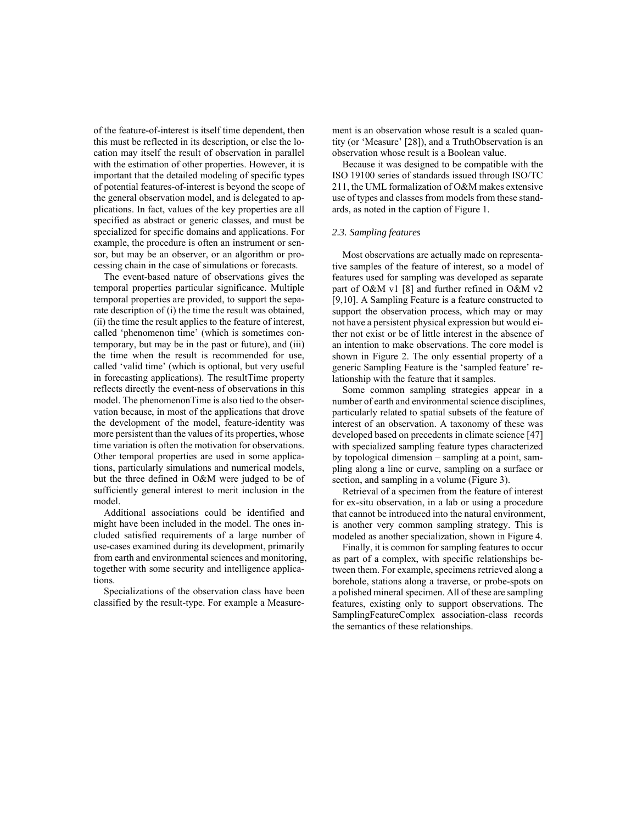of the feature-of-interest is itself time dependent, then this must be reflected in its description, or else the location may itself the result of observation in parallel with the estimation of other properties. However, it is important that the detailed modeling of specific types of potential features-of-interest is beyond the scope of the general observation model, and is delegated to applications. In fact, values of the key properties are all specified as abstract or generic classes, and must be specialized for specific domains and applications. For example, the procedure is often an instrument or sensor, but may be an observer, or an algorithm or processing chain in the case of simulations or forecasts.

The event-based nature of observations gives the temporal properties particular significance. Multiple temporal properties are provided, to support the separate description of (i) the time the result was obtained, (ii) the time the result applies to the feature of interest, called 'phenomenon time' (which is sometimes contemporary, but may be in the past or future), and (iii) the time when the result is recommended for use, called 'valid time' (which is optional, but very useful in forecasting applications). The resultTime property reflects directly the event-ness of observations in this model. The phenomenonTime is also tied to the observation because, in most of the applications that drove the development of the model, feature-identity was more persistent than the values of its properties, whose time variation is often the motivation for observations. Other temporal properties are used in some applications, particularly simulations and numerical models, but the three defined in O&M were judged to be of sufficiently general interest to merit inclusion in the model.

Additional associations could be identified and might have been included in the model. The ones included satisfied requirements of a large number of use-cases examined during its development, primarily from earth and environmental sciences and monitoring, together with some security and intelligence applications.

Specializations of the observation class have been classified by the result-type. For example a Measurement is an observation whose result is a scaled quantity (or 'Measure' [28]), and a TruthObservation is an observation whose result is a Boolean value.

Because it was designed to be compatible with the ISO 19100 series of standards issued through ISO/TC 211, the UML formalization of O&M makes extensive use of types and classes from models from these standards, as noted in the caption of Figure 1.

#### *2.3. Sampling features*

Most observations are actually made on representative samples of the feature of interest, so a model of features used for sampling was developed as separate part of O&M v1 [8] and further refined in O&M v2 [9,10]. A Sampling Feature is a feature constructed to support the observation process, which may or may not have a persistent physical expression but would either not exist or be of little interest in the absence of an intention to make observations. The core model is shown in Figure 2. The only essential property of a generic Sampling Feature is the 'sampled feature' relationship with the feature that it samples.

Some common sampling strategies appear in a number of earth and environmental science disciplines, particularly related to spatial subsets of the feature of interest of an observation. A taxonomy of these was developed based on precedents in climate science [47] with specialized sampling feature types characterized by topological dimension – sampling at a point, sampling along a line or curve, sampling on a surface or section, and sampling in a volume (Figure 3).

Retrieval of a specimen from the feature of interest for ex-situ observation, in a lab or using a procedure that cannot be introduced into the natural environment, is another very common sampling strategy. This is modeled as another specialization, shown in Figure 4.

Finally, it is common for sampling features to occur as part of a complex, with specific relationships between them. For example, specimens retrieved along a borehole, stations along a traverse, or probe-spots on a polished mineral specimen. All of these are sampling features, existing only to support observations. The SamplingFeatureComplex association-class records the semantics of these relationships.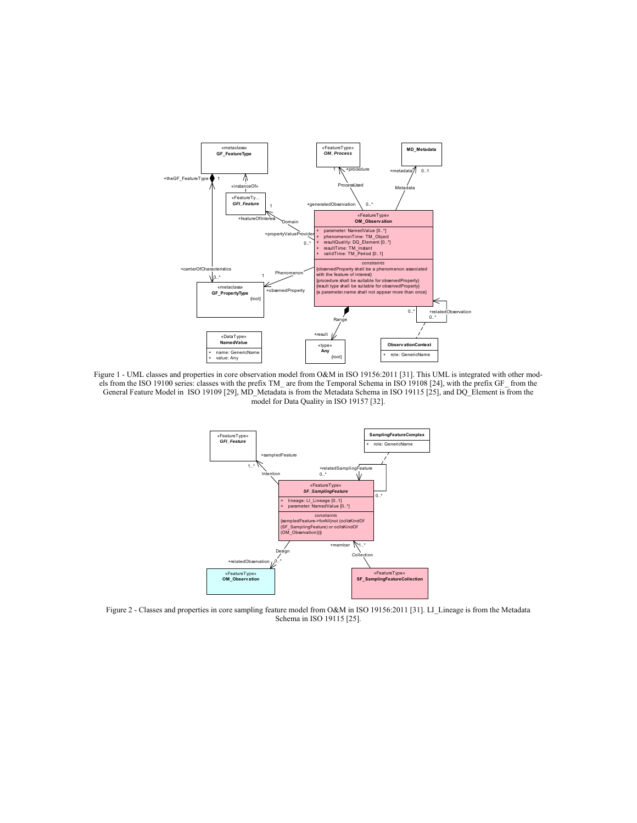

Figure 1 - UML classes and properties in core observation model from O&M in ISO 19156:2011 [31]. This UML is integrated with other models from the ISO 19100 series: classes with the prefix TM\_ are from the Temporal Schema in ISO 19108 [24], with the prefix GF\_ from the General Feature Model in ISO 19109 [29], MD\_Metadata is from the Metadata Schema in ISO 19115 [25], and DQ\_Element is from the model for Data Quality in ISO 19157 [32].



Figure 2 - Classes and properties in core sampling feature model from O&M in ISO 19156:2011 [31]. LI\_Lineage is from the Metadata Schema in ISO 19115 [25].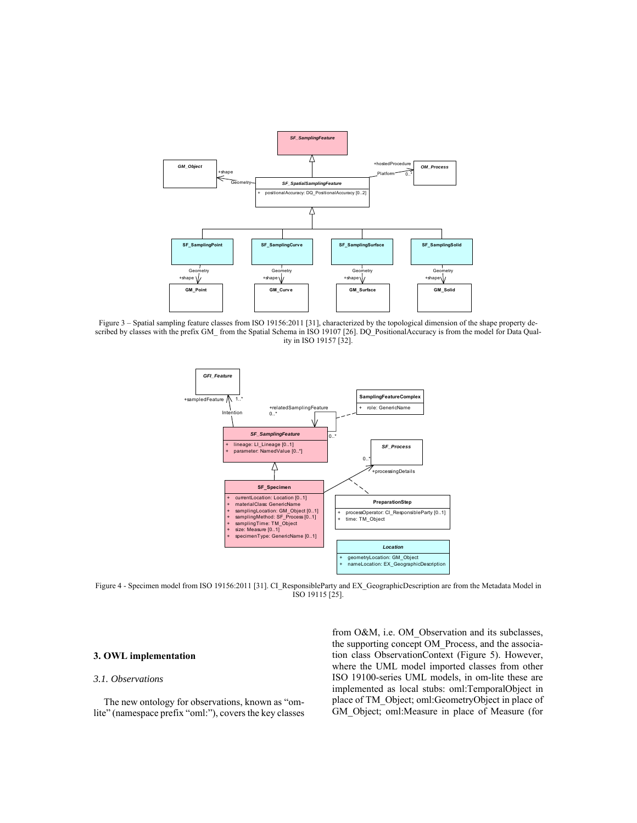

Figure 3 – Spatial sampling feature classes from ISO 19156:2011 [31], characterized by the topological dimension of the shape property described by classes with the prefix GM\_ from the Spatial Schema in ISO 19107 [26]. DQ\_PositionalAccuracy is from the model for Data Quality in ISO 19157 [32].



Figure 4 - Specimen model from ISO 19156:2011 [31]. CI\_ResponsibleParty and EX\_GeographicDescription are from the Metadata Model in ISO 19115 [25].

## **3. OWL implementation**

## *3.1. Observations*

The new ontology for observations, known as "omlite" (namespace prefix "oml:"), covers the key classes from O&M, i.e. OM\_Observation and its subclasses, the supporting concept OM\_Process, and the association class ObservationContext (Figure 5). However, where the UML model imported classes from other ISO 19100-series UML models, in om-lite these are implemented as local stubs: oml:TemporalObject in place of TM\_Object; oml:GeometryObject in place of GM\_Object; oml:Measure in place of Measure (for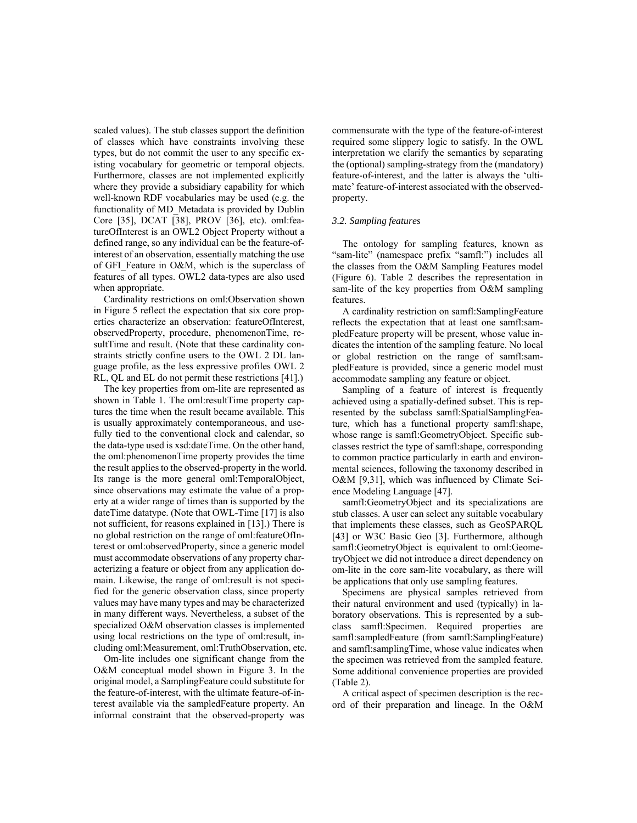scaled values). The stub classes support the definition of classes which have constraints involving these types, but do not commit the user to any specific existing vocabulary for geometric or temporal objects. Furthermore, classes are not implemented explicitly where they provide a subsidiary capability for which well-known RDF vocabularies may be used (e.g. the functionality of MD\_Metadata is provided by Dublin Core [35], DCAT [38], PROV [36], etc). oml:featureOfInterest is an OWL2 Object Property without a defined range, so any individual can be the feature-ofinterest of an observation, essentially matching the use of GFI Feature in O&M, which is the superclass of features of all types. OWL2 data-types are also used when appropriate.

Cardinality restrictions on oml:Observation shown in Figure 5 reflect the expectation that six core properties characterize an observation: featureOfInterest, observedProperty, procedure, phenomenonTime, resultTime and result. (Note that these cardinality constraints strictly confine users to the OWL 2 DL language profile, as the less expressive profiles OWL 2 RL, QL and EL do not permit these restrictions [41].)

The key properties from om-lite are represented as shown in Table 1. The oml:resultTime property captures the time when the result became available. This is usually approximately contemporaneous, and usefully tied to the conventional clock and calendar, so the data-type used is xsd:dateTime. On the other hand, the oml:phenomenonTime property provides the time the result applies to the observed-property in the world. Its range is the more general oml:TemporalObject, since observations may estimate the value of a property at a wider range of times than is supported by the dateTime datatype. (Note that OWL-Time [17] is also not sufficient, for reasons explained in [13].) There is no global restriction on the range of oml:featureOfInterest or oml:observedProperty, since a generic model must accommodate observations of any property characterizing a feature or object from any application domain. Likewise, the range of oml:result is not specified for the generic observation class, since property values may have many types and may be characterized in many different ways. Nevertheless, a subset of the specialized O&M observation classes is implemented using local restrictions on the type of oml:result, including oml:Measurement, oml:TruthObservation, etc.

Om-lite includes one significant change from the O&M conceptual model shown in Figure 3. In the original model, a SamplingFeature could substitute for the feature-of-interest, with the ultimate feature-of-interest available via the sampledFeature property. An informal constraint that the observed-property was commensurate with the type of the feature-of-interest required some slippery logic to satisfy. In the OWL interpretation we clarify the semantics by separating the (optional) sampling-strategy from the (mandatory) feature-of-interest, and the latter is always the 'ultimate' feature-of-interest associated with the observedproperty.

## *3.2. Sampling features*

The ontology for sampling features, known as "sam-lite" (namespace prefix "samfl:") includes all the classes from the O&M Sampling Features model (Figure 6). Table 2 describes the representation in sam-lite of the key properties from O&M sampling features.

A cardinality restriction on samfl:SamplingFeature reflects the expectation that at least one samfl:sampledFeature property will be present, whose value indicates the intention of the sampling feature. No local or global restriction on the range of samfl:sampledFeature is provided, since a generic model must accommodate sampling any feature or object.

Sampling of a feature of interest is frequently achieved using a spatially-defined subset. This is represented by the subclass samfl:SpatialSamplingFeature, which has a functional property samfl:shape, whose range is samfl:GeometryObject. Specific subclasses restrict the type of samfl:shape, corresponding to common practice particularly in earth and environmental sciences, following the taxonomy described in O&M [9,31], which was influenced by Climate Science Modeling Language [47].

samfl:GeometryObject and its specializations are stub classes. A user can select any suitable vocabulary that implements these classes, such as GeoSPARQL [43] or W3C Basic Geo [3]. Furthermore, although samfl:GeometryObject is equivalent to oml:GeometryObject we did not introduce a direct dependency on om-lite in the core sam-lite vocabulary, as there will be applications that only use sampling features.

Specimens are physical samples retrieved from their natural environment and used (typically) in laboratory observations. This is represented by a subclass samfl:Specimen. Required properties are samfl:sampledFeature (from samfl:SamplingFeature) and samfl:samplingTime, whose value indicates when the specimen was retrieved from the sampled feature. Some additional convenience properties are provided (Table 2).

A critical aspect of specimen description is the record of their preparation and lineage. In the O&M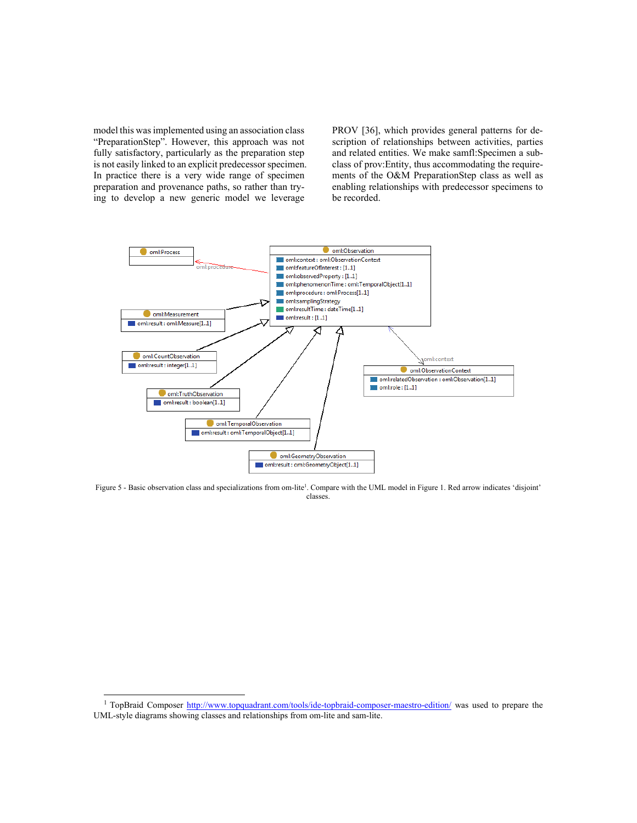model this was implemented using an association class "PreparationStep". However, this approach was not fully satisfactory, particularly as the preparation step is not easily linked to an explicit predecessor specimen. In practice there is a very wide range of specimen preparation and provenance paths, so rather than trying to develop a new generic model we leverage

l

PROV [36], which provides general patterns for description of relationships between activities, parties and related entities. We make samfl:Specimen a subclass of prov:Entity, thus accommodating the requirements of the O&M PreparationStep class as well as enabling relationships with predecessor specimens to be recorded.



Figure 5 - Basic observation class and specializations from om-lite<sup>1</sup>. Compare with the UML model in Figure 1. Red arrow indicates 'disjoint' classes.

<sup>&</sup>lt;sup>1</sup> TopBraid Composer http://www.topquadrant.com/tools/ide-topbraid-composer-maestro-edition/ was used to prepare the UML-style diagrams showing classes and relationships from om-lite and sam-lite.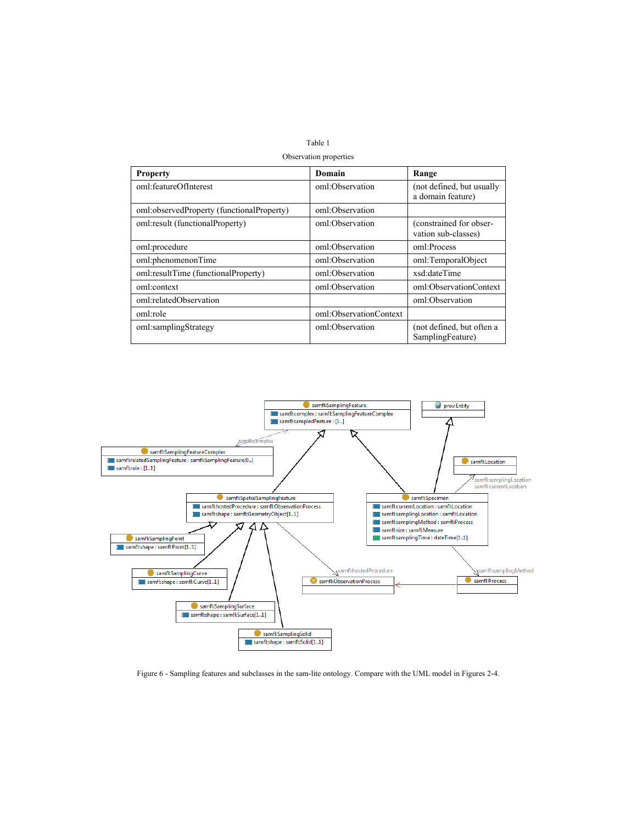Observation properties

| <b>Property</b>                           | Domain                 | Range                                          |
|-------------------------------------------|------------------------|------------------------------------------------|
| oml:featureOfInterest                     | oml:Observation        | (not defined, but usually<br>a domain feature) |
| oml:observedProperty (functionalProperty) | oml:Observation        |                                                |
| oml:result (functional Property)          | oml:Observation        | (constrained for obser-<br>vation sub-classes) |
| oml:procedure                             | oml:Observation        | oml:Process                                    |
| oml:phenomenonTime                        | oml:Observation        | oml:TemporalObject                             |
| oml:resultTime (functionalProperty)       | oml:Observation        | xsd:dateTime                                   |
| oml:context                               | oml:Observation        | oml:ObservationContext                         |
| oml:relatedObservation                    |                        | oml:Observation                                |
| oml:role                                  | oml:ObservationContext |                                                |
| oml:samplingStrategy                      | oml:Observation        | (not defined, but often a<br>SamplingFeature)  |



Figure 6 - Sampling features and subclasses in the sam-lite ontology. Compare with the UML model in Figures 2-4.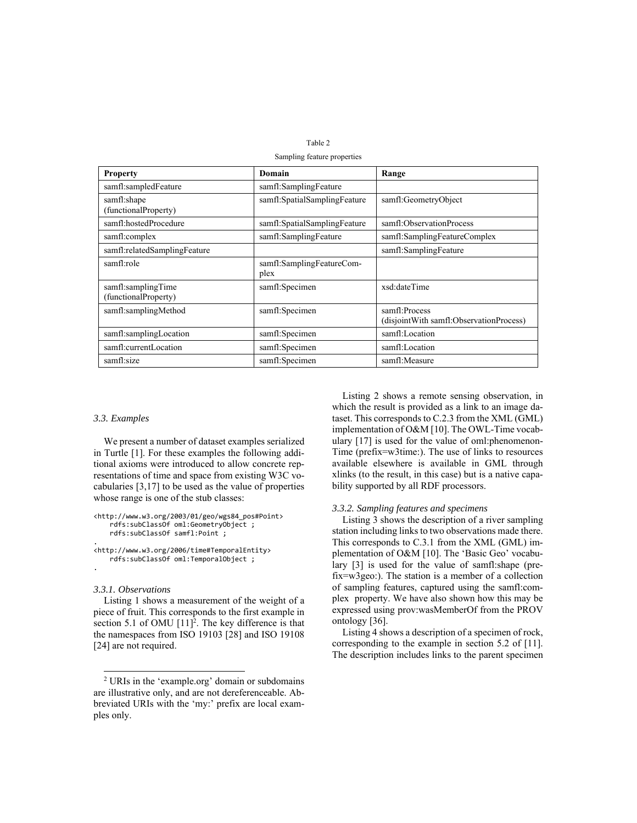| <b>Property</b>                            | Domain                            | Range                                                       |
|--------------------------------------------|-----------------------------------|-------------------------------------------------------------|
| samfl:sampledFeature                       | samfl:SamplingFeature             |                                                             |
| samfl:shape<br>(functionalProperty)        | samfl:SpatialSamplingFeature      | samfl:GeometryObject                                        |
| samfl:hostedProcedure                      | samfl:SpatialSamplingFeature      | samfl:ObservationProcess                                    |
| samfl:complex                              | samfl:SamplingFeature             | samfl:SamplingFeatureComplex                                |
| samfl:relatedSamplingFeature               |                                   | samfl:SamplingFeature                                       |
| samfl:role                                 | samfl:SamplingFeatureCom-<br>plex |                                                             |
| samfl:samplingTime<br>(functionalProperty) | samfl:Specimen                    | xsd:dateTime                                                |
| samfl:samplingMethod                       | samfl:Specimen                    | samfl:Process<br>(disjoint With samfl: Observation Process) |
| samfl:samplingLocation                     | samfl:Specimen                    | samfl:Location                                              |
| samfl:currentLocation                      | samfl:Specimen                    | samfl:Location                                              |
| samfl:size                                 | samfl:Specimen                    | samfl:Measure                                               |

Table 2

Sampling feature properties

## *3.3. Examples*

We present a number of dataset examples serialized in Turtle [1]. For these examples the following additional axioms were introduced to allow concrete representations of time and space from existing W3C vocabularies [3,17] to be used as the value of properties whose range is one of the stub classes:

```
<http://www.w3.org/2003/01/geo/wgs84_pos#Point>
        rdfs:subClassOf oml:GeometryObject ;
        rdfs:subClassOf samfl:Point ;
```

```
<http://www.w3.org/2006/time#TemporalEntity>
        rdfs:subClassOf oml:TemporalObject ;
.
```
# *3.3.1. Observations*

.

 $\overline{a}$ 

Listing 1 shows a measurement of the weight of a piece of fruit. This corresponds to the first example in section 5.1 of OMU  $[11]^2$ . The key difference is that the namespaces from ISO 19103 [28] and ISO 19108 [24] are not required.

Listing 2 shows a remote sensing observation, in which the result is provided as a link to an image dataset. This corresponds to C.2.3 from the XML (GML) implementation of O&M [10]. The OWL-Time vocabulary [17] is used for the value of oml:phenomenon-Time (prefix=w3time:). The use of links to resources available elsewhere is available in GML through xlinks (to the result, in this case) but is a native capability supported by all RDF processors.

## *3.3.2. Sampling features and specimens*

Listing 3 shows the description of a river sampling station including links to two observations made there. This corresponds to C.3.1 from the XML (GML) implementation of O&M [10]. The 'Basic Geo' vocabulary [3] is used for the value of samfl:shape (prefix=w3geo:). The station is a member of a collection of sampling features, captured using the samfl:complex property. We have also shown how this may be expressed using prov:wasMemberOf from the PROV ontology [36].

Listing 4 shows a description of a specimen of rock, corresponding to the example in section 5.2 of [11]. The description includes links to the parent specimen

<sup>2</sup> URIs in the 'example.org' domain or subdomains are illustrative only, and are not dereferenceable. Abbreviated URIs with the 'my:' prefix are local examples only.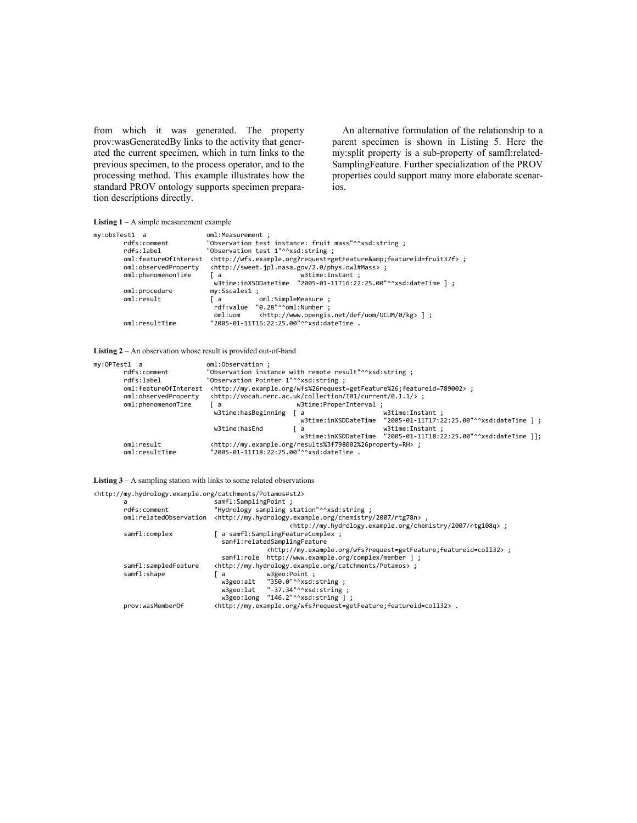from which it was generated. The property prov:wasGeneratedBy links to the activity that generated the current specimen, which in turn links to the previous specimen, to the process operator, and to the processing method. This example illustrates how the standard PROV ontology supports specimen preparation descriptions directly.

An alternative formulation of the relationship to a parent specimen is shown in Listing 5. Here the my:split property is a sub-property of samfl:related-SamplingFeature. Further specialization of the PROV properties could support many more elaborate scenarios.

## **Listing 1** – A simple measurement example

| my:obsTest1 a         | oml:Measurement ;                                                                                |
|-----------------------|--------------------------------------------------------------------------------------------------|
| rdfs:comment          | "Observation test instance: fruit mass"^^xsd:string ;                                            |
| rdfs:label            | "Observation test 1"^^xsd:string;                                                                |
| oml:featureOfInterest | <http: wfs.example.org?request="getFeature&amp;featureid=fruit37f"> ;</http:>                    |
| oml:observedProperty  | <http: 2.0="" phys.owl#mass="" sweet.jpl.nasa.gov="">;</http:>                                   |
| oml:phenomenonTime    | w3time: Instant ;<br>Гa                                                                          |
|                       | w3time:inXSDDateTime "2005-01-11T16:22:25.00"^^xsd:dateTime ] ;                                  |
| oml:procedure         | my:Sscales1 ;                                                                                    |
| oml:result            | oml:SimpleMeasure ;<br>ſа                                                                        |
|                       | rdf:value "0.28"^^oml:Number :                                                                   |
|                       | <http: 0="" def="" kg="" ucum="" uom="" www.opengis.net=""> ] ;<br/><math>om1:</math>uom</http:> |
| oml:resultTime        | "2005-01-11T16:22:25.00"^^xsd:dateTime .                                                         |

**Listing 2** – An observation whose result is provided out-of-band

| my:OPTest1 a          | oml:Observation ;       |                                                                                |                                                                                    |  |
|-----------------------|-------------------------|--------------------------------------------------------------------------------|------------------------------------------------------------------------------------|--|
| rdfs:comment          |                         | "Observation instance with remote result"^^xsd:string;                         |                                                                                    |  |
| rdfs:label            |                         | "Observation Pointer 1"^^xsd:string;                                           |                                                                                    |  |
| oml:featureOfInterest |                         |                                                                                | <http: my.example.org="" wfs%26request="getFeature%26;featureid=789002"> ;</http:> |  |
| oml:observedProperty  |                         | <http: 0.1.1="" collection="" current="" i01="" vocab.nerc.ac.uk=""></http:> ; |                                                                                    |  |
| oml:phenomenonTime    | Гa                      | w3time: ProperInterval ;                                                       |                                                                                    |  |
|                       | w3time:hasBeginning [ a |                                                                                | w3time:Instant ;                                                                   |  |
|                       |                         |                                                                                | w3time:inXSDDateTime "2005-01-11T17:22:25.00"^^xsd:dateTime ] ;                    |  |
|                       | w3time:hasEnd           | - a                                                                            | w3time: Instant ;                                                                  |  |
|                       |                         |                                                                                | w3time:inXSDDateTime "2005-01-11T18:22:25.00"^^xsd:dateTime ]];                    |  |
| oml:result            |                         | <http: my.example.org="" results%3f798002%26property="RH"> ;</http:>           |                                                                                    |  |
| oml:resultTime        |                         | "2005-01-11T18:22:25.00"^^xsd:dateTime .                                       |                                                                                    |  |
|                       |                         |                                                                                |                                                                                    |  |

**Listing 3** – A sampling station with links to some related observations

| <http: catchments="" my.hydrology.example.org="" potamos#st2=""></http:> |                                                                               |
|--------------------------------------------------------------------------|-------------------------------------------------------------------------------|
| a                                                                        | samfl:SamplingPoint ;                                                         |
| rdfs:comment                                                             | "Hydrology sampling station"^^xsd:string;                                     |
| oml:relatedObservation                                                   | <http: 2007="" chemistry="" my.hydrology.example.org="" rtg78n="">,</http:>   |
|                                                                          | <http: 2007="" chemistry="" my.hydrology.example.org="" rtg108q=""> ;</http:> |
| samfl:complex                                                            | [ a samfl:SamplingFeatureComplex ;                                            |
|                                                                          | samfl:relatedSamplingFeature                                                  |
|                                                                          | <http: my.example.org="" wfs?request="getFeature;featureid=coll32"> ;</http:> |
|                                                                          | samfl:role http://www.example.org/complex/member ] ;                          |
| samfl:sampledFeature                                                     | <http: catchments="" my.hydrology.example.org="" potamos=""> ;</http:>        |
| samfl:shape                                                              | w3geo:Point :<br>l a                                                          |
|                                                                          | w3geo:alt "350.0"^^xsd:string;                                                |
|                                                                          | w3geo:lat "-37.34"^^xsd:string;                                               |
|                                                                          | $w3geo:long$ "146.2"^^xsd:string $]$ ;                                        |
| prov:wasMemberOf                                                         | <http: my.example.org="" wfs?request="getFeature;featureid=coll32">.</http:>  |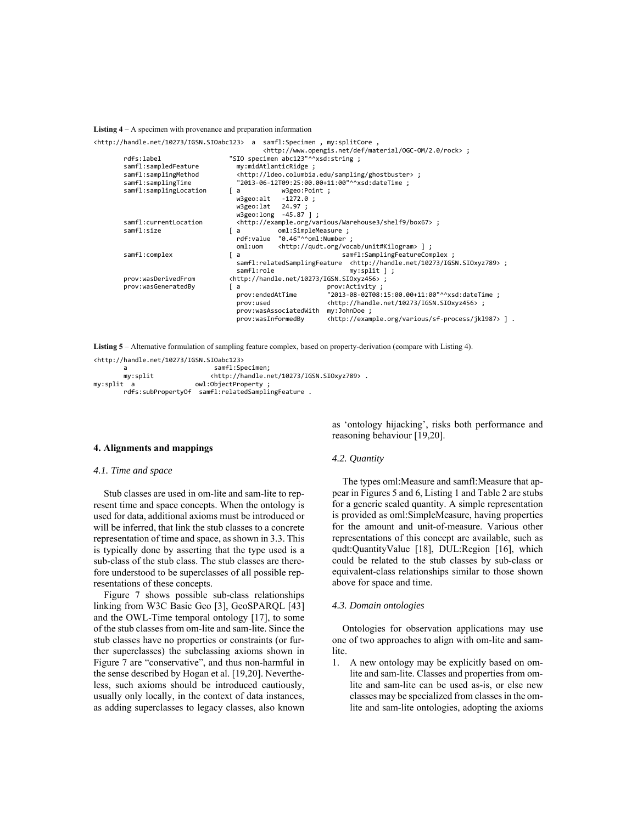**Listing 4** – A specimen with provenance and preparation information

| <http: 10273="" handle.net="" igsn.sioabc123=""> a samfl:Specimen, my:splitCore,</http:> |                                                           |                                                                                         |
|------------------------------------------------------------------------------------------|-----------------------------------------------------------|-----------------------------------------------------------------------------------------|
|                                                                                          |                                                           | <http: 2.0="" def="" material="" ogc-om="" rock="" www.opengis.net=""> ;</http:>        |
| rdfs:label                                                                               | "SIO specimen abc123"^^xsd:string ;                       |                                                                                         |
| samfl:sampledFeature                                                                     | my:midAtlanticRidge ;                                     |                                                                                         |
| samfl:samplingMethod                                                                     |                                                           | <http: ghostbuster="" ldeo.columbia.edu="" sampling=""> ;</http:>                       |
| samfl:samplingTime                                                                       |                                                           | "2013-06-12T09:25:00.00+11:00"^^xsd:dateTime ;                                          |
| samfl:samplingLocation                                                                   | ſа<br>w3geo:Point ;                                       |                                                                                         |
|                                                                                          | $w3geo: alt -1272.0;$                                     |                                                                                         |
|                                                                                          | w3geo:lat 24.97;                                          |                                                                                         |
|                                                                                          | $w3geo: long -45.87$ ];                                   |                                                                                         |
| samfl:currentLocation                                                                    |                                                           | <http: box67="" example.org="" shelf9="" various="" warehouse3=""> ;</http:>            |
| samfl:size                                                                               | oml:SimpleMeasure ;<br>ſа                                 |                                                                                         |
|                                                                                          | rdf:value "0.46"^^oml:Number ;                            |                                                                                         |
|                                                                                          |                                                           | oml:uom <http: qudt.org="" unit#kilogram="" vocab=""> ];</http:>                        |
| samfl:complex                                                                            | a                                                         | samfl:SamplingFeatureComplex ;                                                          |
|                                                                                          |                                                           | samfl:relatedSamplingFeature <http: 10273="" handle.net="" igsn.sioxyz789=""> ;</http:> |
|                                                                                          | samfl:role                                                | $my:split$ ] ;                                                                          |
| prov:wasDerivedFrom                                                                      | <http: 10273="" handle.net="" igsn.sioxyz456="">;</http:> |                                                                                         |
| prov:wasGeneratedBy                                                                      | ſa                                                        | prov:Activity ;                                                                         |
|                                                                                          | prov:endedAtTime                                          | "2013-08-02T08:15:00.00+11:00"^^xsd:dateTime ;                                          |
|                                                                                          | prov:used                                                 | <http: 10273="" handle.net="" igsn.sioxyz456=""> ;</http:>                              |
|                                                                                          | prov:wasAssociatedWith                                    | my:JohnDoe ;                                                                            |
|                                                                                          | prov:wasInformedBy                                        | <http: example.org="" jkl987="" sf-process="" various=""> ].</http:>                    |
|                                                                                          |                                                           |                                                                                         |

**Listing 5** – Alternative formulation of sampling feature complex, based on property-derivation (compare with Listing 4).

```
<http://handle.net/10273/IGSN.SIOabc123>
                a                       samfl:Specimen;
        my:split               <http://handle.net/10273/IGSN.SIOxyz789> .
                            owl:ObjectProperty ;
                rdfs:subPropertyOf  samfl:relatedSamplingFeature .
```
#### **4. Alignments and mappings**

#### *4.1. Time and space*

Stub classes are used in om-lite and sam-lite to represent time and space concepts. When the ontology is used for data, additional axioms must be introduced or will be inferred, that link the stub classes to a concrete representation of time and space, as shown in 3.3. This is typically done by asserting that the type used is a sub-class of the stub class. The stub classes are therefore understood to be superclasses of all possible representations of these concepts.

Figure 7 shows possible sub-class relationships linking from W3C Basic Geo [3], GeoSPARQL [43] and the OWL-Time temporal ontology [17], to some of the stub classes from om-lite and sam-lite. Since the stub classes have no properties or constraints (or further superclasses) the subclassing axioms shown in Figure 7 are "conservative", and thus non-harmful in the sense described by Hogan et al. [19,20]. Nevertheless, such axioms should be introduced cautiously, usually only locally, in the context of data instances, as adding superclasses to legacy classes, also known as 'ontology hijacking', risks both performance and reasoning behaviour [19,20].

#### *4.2. Quantity*

The types oml:Measure and samfl:Measure that appear in Figures 5 and 6, Listing 1 and Table 2 are stubs for a generic scaled quantity. A simple representation is provided as oml:SimpleMeasure, having properties for the amount and unit-of-measure. Various other representations of this concept are available, such as qudt:QuantityValue [18], DUL:Region [16], which could be related to the stub classes by sub-class or equivalent-class relationships similar to those shown above for space and time.

#### *4.3. Domain ontologies*

Ontologies for observation applications may use one of two approaches to align with om-lite and samlite.

1. A new ontology may be explicitly based on omlite and sam-lite. Classes and properties from omlite and sam-lite can be used as-is, or else new classes may be specialized from classes in the omlite and sam-lite ontologies, adopting the axioms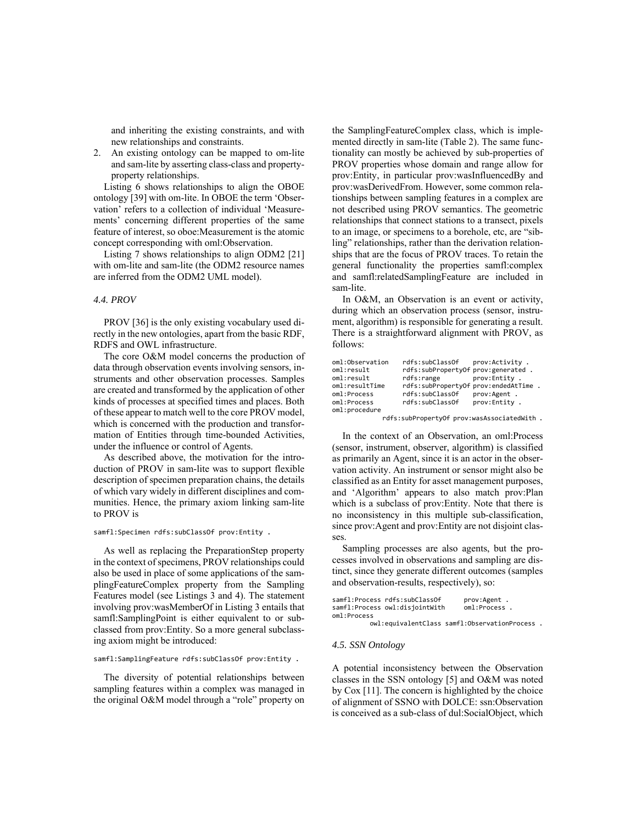and inheriting the existing constraints, and with new relationships and constraints.

2. An existing ontology can be mapped to om-lite and sam-lite by asserting class-class and propertyproperty relationships.

Listing 6 shows relationships to align the OBOE ontology [39] with om-lite. In OBOE the term 'Observation' refers to a collection of individual 'Measurements' concerning different properties of the same feature of interest, so oboe:Measurement is the atomic concept corresponding with oml:Observation.

Listing 7 shows relationships to align ODM2 [21] with om-lite and sam-lite (the ODM2 resource names are inferred from the ODM2 UML model).

## *4.4. PROV*

PROV [36] is the only existing vocabulary used directly in the new ontologies, apart from the basic RDF, RDFS and OWL infrastructure.

The core O&M model concerns the production of data through observation events involving sensors, instruments and other observation processes. Samples are created and transformed by the application of other kinds of processes at specified times and places. Both of these appear to match well to the core PROV model, which is concerned with the production and transformation of Entities through time-bounded Activities, under the influence or control of Agents.

As described above, the motivation for the introduction of PROV in sam-lite was to support flexible description of specimen preparation chains, the details of which vary widely in different disciplines and communities. Hence, the primary axiom linking sam-lite to PROV is

#### samfl:Specimen rdfs:subClassOf prov:Entity .

As well as replacing the PreparationStep property in the context of specimens, PROV relationships could also be used in place of some applications of the samplingFeatureComplex property from the Sampling Features model (see Listings 3 and 4). The statement involving prov:wasMemberOf in Listing 3 entails that samfl:SamplingPoint is either equivalent to or subclassed from prov:Entity. So a more general subclassing axiom might be introduced:

#### samfl:SamplingFeature rdfs:subClassOf prov:Entity .

The diversity of potential relationships between sampling features within a complex was managed in the original O&M model through a "role" property on the SamplingFeatureComplex class, which is implemented directly in sam-lite (Table 2). The same functionality can mostly be achieved by sub-properties of PROV properties whose domain and range allow for prov:Entity, in particular prov:wasInfluencedBy and prov:wasDerivedFrom. However, some common relationships between sampling features in a complex are not described using PROV semantics. The geometric relationships that connect stations to a transect, pixels to an image, or specimens to a borehole, etc, are "sibling" relationships, rather than the derivation relationships that are the focus of PROV traces. To retain the general functionality the properties samfl:complex and samfl:relatedSamplingFeature are included in sam-lite.

In O&M, an Observation is an event or activity. during which an observation process (sensor, instrument, algorithm) is responsible for generating a result. There is a straightforward alignment with PROV, as follows:

| oml:Observation | rdfs:subClassOf                           | prov: Activity. |  |
|-----------------|-------------------------------------------|-----------------|--|
| oml:result      | rdfs:subPropertyOf prov:generated.        |                 |  |
| oml:result      | rdfs:range                                | prov:Entity.    |  |
| oml:resultTime  | rdfs:subPropertyOf prov:endedAtTime.      |                 |  |
| oml:Process     | rdfs:subClassOf                           | prov:Agent .    |  |
| oml:Process     | rdfs:subClassOf                           | prov:Entity.    |  |
| oml:procedure   |                                           |                 |  |
|                 | rdfs:subPropertvOf prov:wasAssociatedWith |                 |  |

rdfs:subPropertyOf prov:wasAssociatedWith .

In the context of an Observation, an oml:Process (sensor, instrument, observer, algorithm) is classified as primarily an Agent, since it is an actor in the observation activity. An instrument or sensor might also be classified as an Entity for asset management purposes, and 'Algorithm' appears to also match prov:Plan which is a subclass of prov:Entity. Note that there is no inconsistency in this multiple sub-classification, since prov:Agent and prov:Entity are not disjoint classes.

Sampling processes are also agents, but the processes involved in observations and sampling are distinct, since they generate different outcomes (samples and observation-results, respectively), so:

|             | samfl:Process rdfs:subClassOf  | prov:Agent.   |
|-------------|--------------------------------|---------------|
|             | samfl:Process owl:disjointWith | oml:Process . |
| oml:Process |                                |               |

owl:equivalentClass samfl:ObservationProcess .

## *4.5. SSN Ontology*

A potential inconsistency between the Observation classes in the SSN ontology [5] and O&M was noted by Cox [11]. The concern is highlighted by the choice of alignment of SSNO with DOLCE: ssn:Observation is conceived as a sub-class of dul:SocialObject, which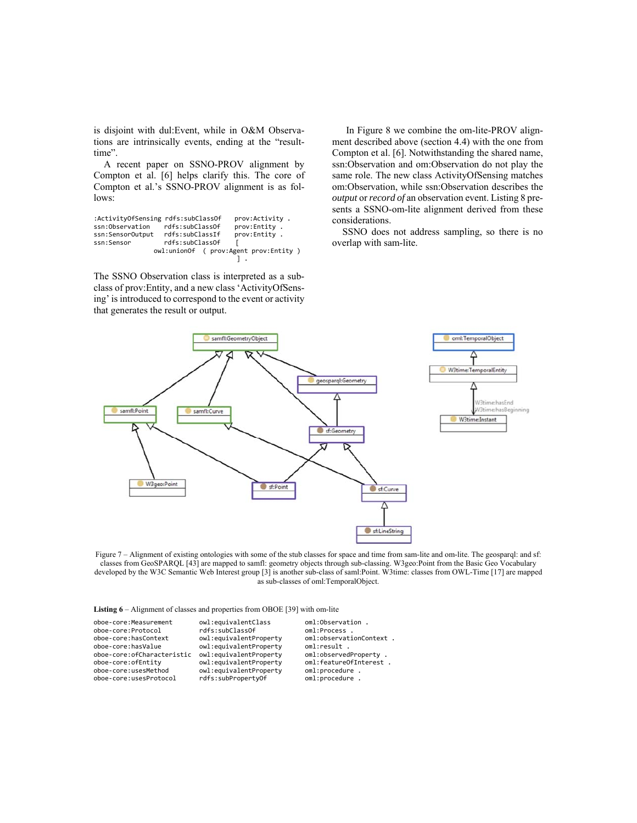is disjoint with dul:Event, while in O&M Observations are intrinsically events, ending at the "resulttime".

A recent paper on SSNO-PROV alignment by Compton et al. [6] helps clarify this. The core of Compton et al.'s SSNO-PROV alignment is as follows:

| :ActivityOfSensing rdfs:subClassOf |                 | prov: Activity .                       |
|------------------------------------|-----------------|----------------------------------------|
| ssn:Observation                    | rdfs:subClassOf | prov:Entity.                           |
| ssn:SensorOutput                   | rdfs:subClassIf | prov:Entity.                           |
| ssn:Sensor                         | rdfs:subClassOf |                                        |
|                                    |                 | owl:unionOf ( prov:Agent prov:Entity ) |
|                                    |                 | ۰                                      |

The SSNO Observation class is interpreted as a subclass of prov:Entity, and a new class 'ActivityOfSensing' is introduced to correspond to the event or activity that generates the result or output.

In Figure 8 we combine the om-lite-PROV alignment described above (section 4.4) with the one from Compton et al. [6]. Notwithstanding the shared name, ssn:Observation and om:Observation do not play the same role. The new class ActivityOfSensing matches om:Observation, while ssn:Observation describes the *output* or *record of* an observation event. Listing 8 presents a SSNO-om-lite alignment derived from these considerations.

SSNO does not address sampling, so there is no overlap with sam-lite.



Figure 7 – Alignment of existing ontologies with some of the stub classes for space and time from sam-lite and om-lite. The geosparql: and sf: classes from GeoSPARQL [43] are mapped to samfl: geometry objects through sub-classing. W3geo:Point from the Basic Geo Vocabulary developed by the W3C Semantic Web Interest group [3] is another sub-class of saml:Point. W3time: classes from OWL-Time [17] are mapped as sub-classes of oml:TemporalObject.

Listing  $6$  – Alignment of classes and properties from OBOE [39] with om-lite

| oboe-core:Measurement      | owl:equivalentClass    | oml:Observation .       |
|----------------------------|------------------------|-------------------------|
| oboe-core:Protocol         | rdfs:subClassOf        | oml:Process.            |
| oboe-core:hasContext       | owl:equivalentProperty | oml:observationContext. |
| oboe-core:hasValue         | owl:equivalentProperty | oml:result.             |
| oboe-core:ofCharacteristic | owl:equivalentProperty | oml:observedProperty.   |
| oboe-core: of Entity       | owl:equivalentProperty | oml:featureOfInterest . |
| oboe-core:usesMethod       | owl:equivalentProperty | oml:procedure .         |
| oboe-core:usesProtocol     | rdfs:subPropertyOf     | oml:procedure .         |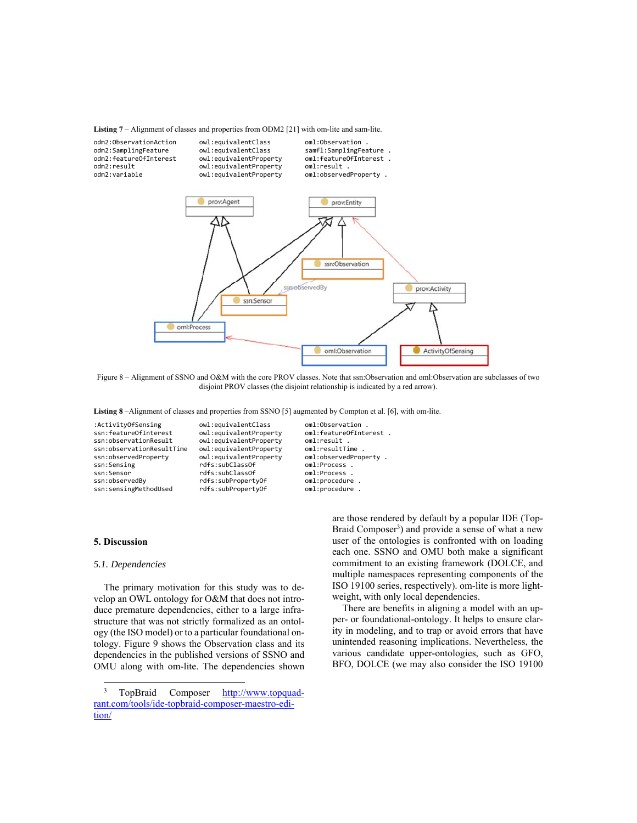



Figure 8 – Alignment of SSNO and O&M with the core PROV classes. Note that ssn:Observation and oml:Observation are subclasses of two disjoint PROV classes (the disjoint relationship is indicated by a red arrow).

**Listing 8** –Alignment of classes and properties from SSNO [5] augmented by Compton et al. [6], with om-lite.

```
:ActivityOfSensing      owl:equivalentClass      oml:Observation .
ssn:featureOfInterest owl:equivalentProperty oml:feature<br>ssn:observationResult owl:equivalentProperty oml:result .
                                        owl:equivalentProperty
ssn:observationResultTime owl:equivalentProperty oml:resultTime.<br>ssn:observedProperty owl:equivalentProperty oml:observedProperty.
                                        owl:equivalentProperty
ssn:Sensing          rdfs:subClassOf      oml:Process .
ssn:Sensor           rdfs:subClassOf      oml:Process .
                                        \texttt{rdfs:} \texttt{subPropertyOf} \qquad \qquad \texttt{oml:procedure} \ \texttt{.} \\ \texttt{rdfs:} \texttt{subPropertyOf} \qquad \qquad \texttt{oml:procedure} \ \texttt{.}ssn:sensingMethodUsed
```
## **5. Discussion**

#### *5.1. Dependencies*

The primary motivation for this study was to develop an OWL ontology for O&M that does not introduce premature dependencies, either to a large infrastructure that was not strictly formalized as an ontology (the ISO model) or to a particular foundational ontology. Figure 9 shows the Observation class and its dependencies in the published versions of SSNO and OMU along with om-lite. The dependencies shown are those rendered by default by a popular IDE (Top-Braid Composer<sup>3</sup>) and provide a sense of what a new user of the ontologies is confronted with on loading each one. SSNO and OMU both make a significant commitment to an existing framework (DOLCE, and multiple namespaces representing components of the ISO 19100 series, respectively). om-lite is more lightweight, with only local dependencies.

There are benefits in aligning a model with an upper- or foundational-ontology. It helps to ensure clarity in modeling, and to trap or avoid errors that have unintended reasoning implications. Nevertheless, the various candidate upper-ontologies, such as GFO, BFO, DOLCE (we may also consider the ISO 19100

 $\overline{3}$ 3 TopBraid Composer http://www.topquadrant.com/tools/ide-topbraid-composer-maestro-edition/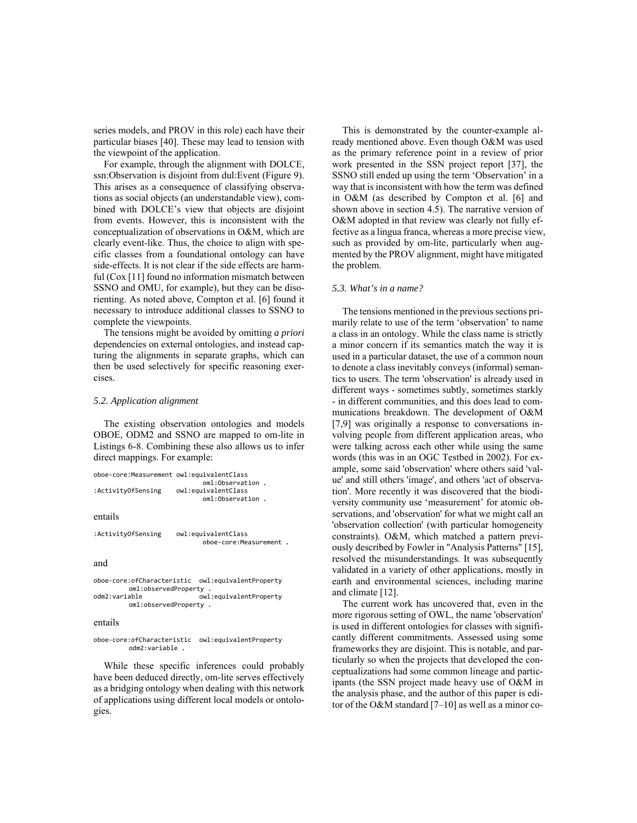series models, and PROV in this role) each have their particular biases [40]. These may lead to tension with the viewpoint of the application.

For example, through the alignment with DOLCE, ssn:Observation is disjoint from dul:Event (Figure 9). This arises as a consequence of classifying observations as social objects (an understandable view), combined with DOLCE's view that objects are disjoint from events. However, this is inconsistent with the conceptualization of observations in O&M, which are clearly event-like. Thus, the choice to align with specific classes from a foundational ontology can have side-effects. It is not clear if the side effects are harmful (Cox [11] found no information mismatch between SSNO and OMU, for example), but they can be disorienting. As noted above, Compton et al. [6] found it necessary to introduce additional classes to SSNO to complete the viewpoints.

The tensions might be avoided by omitting *a priori* dependencies on external ontologies, and instead capturing the alignments in separate graphs, which can then be used selectively for specific reasoning exercises.

# *5.2. Application alignment*

The existing observation ontologies and models OBOE, ODM2 and SSNO are mapped to om-lite in Listings 6-8. Combining these also allows us to infer direct mappings. For example:

```
oboe‐core:Measurement owl:equivalentClass
                                oml:Observation .<br>owl:equivalentClass
:ActivityOfSensing
                                                                       oml:Observation .
entails 
:ActivityOfSensing    owl:equivalentClass  
                                                                       oboe‐core:Measurement .
```
and

```
oboe‐core:ofCharacteristic  owl:equivalentProperty
        oml:observedProperty .
odm2:variable    owl:equivalentProperty
        oml:observedProperty .
```
entails

#### oboe‐core:ofCharacteristic owl:equivalentProperty odm2:variable .

While these specific inferences could probably have been deduced directly, om-lite serves effectively as a bridging ontology when dealing with this network of applications using different local models or ontologies.

This is demonstrated by the counter-example already mentioned above. Even though O&M was used as the primary reference point in a review of prior work presented in the SSN project report [37], the SSNO still ended up using the term 'Observation' in a way that is inconsistent with how the term was defined in O&M (as described by Compton et al. [6] and shown above in section 4.5). The narrative version of O&M adopted in that review was clearly not fully effective as a lingua franca, whereas a more precise view, such as provided by om-lite, particularly when augmented by the PROV alignment, might have mitigated the problem.

## *5.3. What's in a name?*

The tensions mentioned in the previous sections primarily relate to use of the term 'observation' to name a class in an ontology. While the class name is strictly a minor concern if its semantics match the way it is used in a particular dataset, the use of a common noun to denote a class inevitably conveys (informal) semantics to users. The term 'observation' is already used in different ways - sometimes subtly, sometimes starkly - in different communities, and this does lead to communications breakdown. The development of O&M [7,9] was originally a response to conversations involving people from different application areas, who were talking across each other while using the same words (this was in an OGC Testbed in 2002). For example, some said 'observation' where others said 'value' and still others 'image', and others 'act of observation'. More recently it was discovered that the biodiversity community use 'measurement' for atomic observations, and 'observation' for what we might call an 'observation collection' (with particular homogeneity constraints). O&M, which matched a pattern previously described by Fowler in "Analysis Patterns" [15], resolved the misunderstandings. It was subsequently validated in a variety of other applications, mostly in earth and environmental sciences, including marine and climate [12].

The current work has uncovered that, even in the more rigorous setting of OWL, the name 'observation' is used in different ontologies for classes with significantly different commitments. Assessed using some frameworks they are disjoint. This is notable, and particularly so when the projects that developed the conceptualizations had some common lineage and participants (the SSN project made heavy use of O&M in the analysis phase, and the author of this paper is editor of the O&M standard [7–10] as well as a minor co-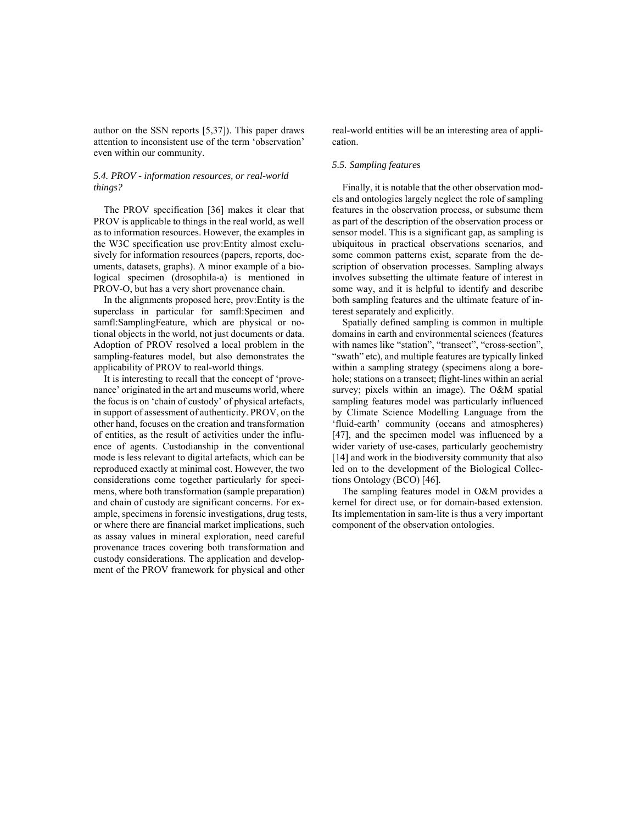author on the SSN reports [5,37]). This paper draws attention to inconsistent use of the term 'observation' even within our community.

## *5.4. PROV - information resources, or real-world things?*

The PROV specification [36] makes it clear that PROV is applicable to things in the real world, as well as to information resources. However, the examples in the W3C specification use prov:Entity almost exclusively for information resources (papers, reports, documents, datasets, graphs). A minor example of a biological specimen (drosophila-a) is mentioned in PROV-O, but has a very short provenance chain.

In the alignments proposed here, prov:Entity is the superclass in particular for samfl:Specimen and samfl:SamplingFeature, which are physical or notional objects in the world, not just documents or data. Adoption of PROV resolved a local problem in the sampling-features model, but also demonstrates the applicability of PROV to real-world things.

It is interesting to recall that the concept of 'provenance' originated in the art and museums world, where the focus is on 'chain of custody' of physical artefacts, in support of assessment of authenticity. PROV, on the other hand, focuses on the creation and transformation of entities, as the result of activities under the influence of agents. Custodianship in the conventional mode is less relevant to digital artefacts, which can be reproduced exactly at minimal cost. However, the two considerations come together particularly for specimens, where both transformation (sample preparation) and chain of custody are significant concerns. For example, specimens in forensic investigations, drug tests, or where there are financial market implications, such as assay values in mineral exploration, need careful provenance traces covering both transformation and custody considerations. The application and development of the PROV framework for physical and other

real-world entities will be an interesting area of application.

# *5.5. Sampling features*

Finally, it is notable that the other observation models and ontologies largely neglect the role of sampling features in the observation process, or subsume them as part of the description of the observation process or sensor model. This is a significant gap, as sampling is ubiquitous in practical observations scenarios, and some common patterns exist, separate from the description of observation processes. Sampling always involves subsetting the ultimate feature of interest in some way, and it is helpful to identify and describe both sampling features and the ultimate feature of interest separately and explicitly.

Spatially defined sampling is common in multiple domains in earth and environmental sciences (features with names like "station", "transect", "cross-section", "swath" etc), and multiple features are typically linked within a sampling strategy (specimens along a borehole; stations on a transect; flight-lines within an aerial survey; pixels within an image). The O&M spatial sampling features model was particularly influenced by Climate Science Modelling Language from the 'fluid-earth' community (oceans and atmospheres) [47], and the specimen model was influenced by a wider variety of use-cases, particularly geochemistry [14] and work in the biodiversity community that also led on to the development of the Biological Collections Ontology (BCO) [46].

The sampling features model in O&M provides a kernel for direct use, or for domain-based extension. Its implementation in sam-lite is thus a very important component of the observation ontologies.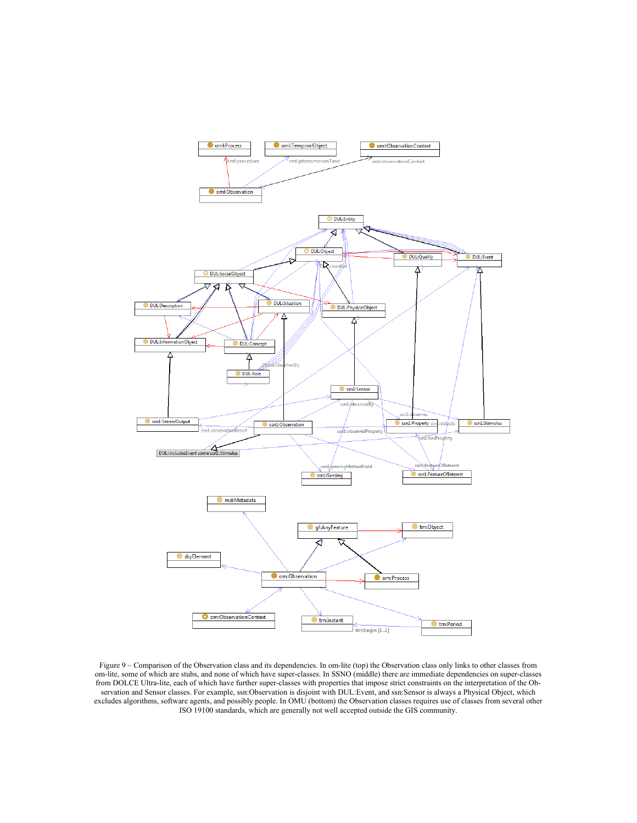

Figure 9 – Comparison of the Observation class and its dependencies. In om-lite (top) the Observation class only links to other classes from om-lite, some of which are stubs, and none of which have super-classes. In SSNO (middle) there are immediate dependencies on super-classes from DOLCE Ultra-lite, each of which have further super-classes with properties that impose strict constraints on the interpretation of the Observation and Sensor classes. For example, ssn:Observation is disjoint with DUL:Event, and ssn:Sensor is always a Physical Object, which excludes algorithms, software agents, and possibly people. In OMU (bottom) the Observation classes requires use of classes from several other ISO 19100 standards, which are generally not well accepted outside the GIS community.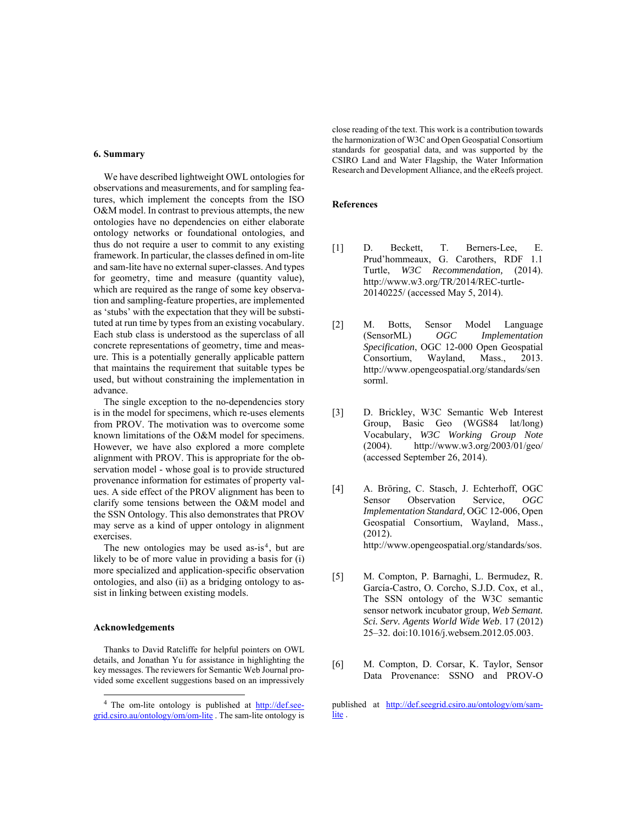## **6. Summary**

We have described lightweight OWL ontologies for observations and measurements, and for sampling features, which implement the concepts from the ISO O&M model. In contrast to previous attempts, the new ontologies have no dependencies on either elaborate ontology networks or foundational ontologies, and thus do not require a user to commit to any existing framework. In particular, the classes defined in om-lite and sam-lite have no external super-classes. And types for geometry, time and measure (quantity value), which are required as the range of some key observation and sampling-feature properties, are implemented as 'stubs' with the expectation that they will be substituted at run time by types from an existing vocabulary. Each stub class is understood as the superclass of all concrete representations of geometry, time and measure. This is a potentially generally applicable pattern that maintains the requirement that suitable types be used, but without constraining the implementation in advance.

The single exception to the no-dependencies story is in the model for specimens, which re-uses elements from PROV. The motivation was to overcome some known limitations of the O&M model for specimens. However, we have also explored a more complete alignment with PROV. This is appropriate for the observation model - whose goal is to provide structured provenance information for estimates of property values. A side effect of the PROV alignment has been to clarify some tensions between the O&M model and the SSN Ontology. This also demonstrates that PROV may serve as a kind of upper ontology in alignment exercises.

The new ontologies may be used as-is<sup>4</sup>, but are likely to be of more value in providing a basis for (i) more specialized and application-specific observation ontologies, and also (ii) as a bridging ontology to assist in linking between existing models.

## **Acknowledgements**

l

Thanks to David Ratcliffe for helpful pointers on OWL details, and Jonathan Yu for assistance in highlighting the key messages. The reviewers for Semantic Web Journal provided some excellent suggestions based on an impressively

close reading of the text. This work is a contribution towards the harmonization of W3C and Open Geospatial Consortium standards for geospatial data, and was supported by the CSIRO Land and Water Flagship, the Water Information Research and Development Alliance, and the eReefs project.

## **References**

- [1] D. Beckett, T. Berners-Lee, E. Prud'hommeaux, G. Carothers, RDF 1.1 Turtle, *W3C Recommendation,* (2014). http://www.w3.org/TR/2014/REC-turtle-20140225/ (accessed May 5, 2014).
- [2] M. Botts, Sensor Model Language (SensorML) *OGC Implementation Specification*, OGC 12-000 Open Geospatial Consortium, Wayland, Mass., 2013. http://www.opengeospatial.org/standards/sen sorml.
- [3] D. Brickley, W3C Semantic Web Interest Group, Basic Geo (WGS84 lat/long) Vocabulary, *W3C Working Group Note* (2004). http://www.w3.org/2003/01/geo/ (accessed September 26, 2014).
- [4] A. Bröring, C. Stasch, J. Echterhoff, OGC Sensor Observation Service, *OGC Implementation Standard,* OGC 12-006, Open Geospatial Consortium, Wayland, Mass., (2012). http://www.opengeospatial.org/standards/sos.
- [5] M. Compton, P. Barnaghi, L. Bermudez, R. García-Castro, O. Corcho, S.J.D. Cox, et al., The SSN ontology of the W3C semantic sensor network incubator group, *Web Semant. Sci. Serv. Agents World Wide Web*. 17 (2012) 25–32. doi:10.1016/j.websem.2012.05.003.
- [6] M. Compton, D. Corsar, K. Taylor, Sensor Data Provenance: SSNO and PROV-O

<sup>&</sup>lt;sup>4</sup> The om-lite ontology is published at http://def.seegrid.csiro.au/ontology/om/om-lite . The sam-lite ontology is

published at http://def.seegrid.csiro.au/ontology/om/samlite.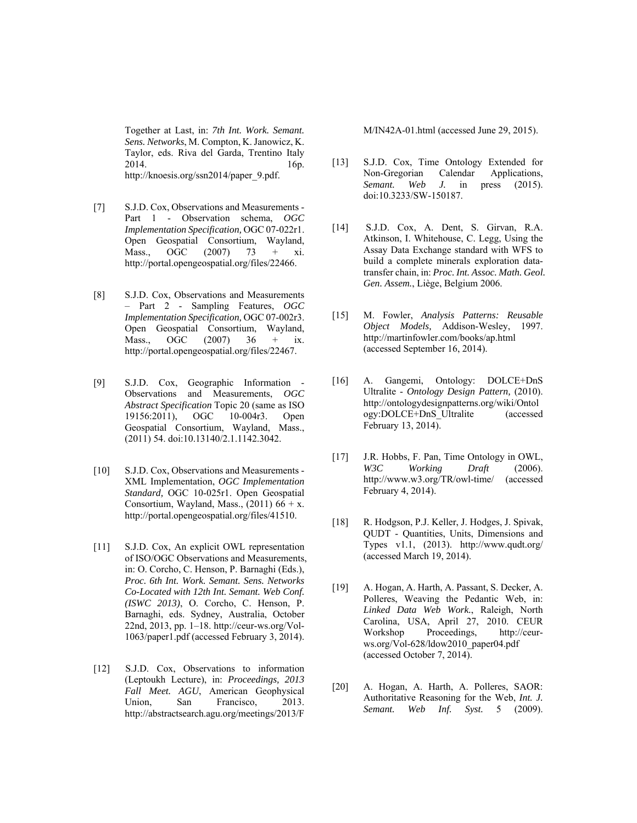Together at Last, in: *7th Int. Work. Semant. Sens. Networks*, M. Compton, K. Janowicz, K. Taylor, eds. Riva del Garda, Trentino Italy 2014. 16p. http://knoesis.org/ssn2014/paper\_9.pdf.

- [7] S.J.D. Cox, Observations and Measurements -Part 1 - Observation schema, *OGC Implementation Specification,* OGC 07-022r1. Open Geospatial Consortium, Wayland, Mass.,  $\widehat{OGC}$  (2007) 73 + xi. http://portal.opengeospatial.org/files/22466.
- [8] S.J.D. Cox, Observations and Measurements – Part 2 - Sampling Features, *OGC Implementation Specification,* OGC 07-002r3. Open Geospatial Consortium, Wayland, Mass., OGC  $(2007)$  36 + ix. http://portal.opengeospatial.org/files/22467.
- [9] S.J.D. Cox, Geographic Information Observations and Measurements, *OGC Abstract Specification* Topic 20 (same as ISO 19156:2011), OGC 10-004r3. Open Geospatial Consortium, Wayland, Mass., (2011) 54. doi:10.13140/2.1.1142.3042.
- [10] S.J.D. Cox, Observations and Measurements -XML Implementation, *OGC Implementation Standard,* OGC 10-025r1. Open Geospatial Consortium, Wayland, Mass.,  $(2011)$  66 + x. http://portal.opengeospatial.org/files/41510.
- [11] S.J.D. Cox, An explicit OWL representation of ISO/OGC Observations and Measurements, in: O. Corcho, C. Henson, P. Barnaghi (Eds.), *Proc. 6th Int. Work. Semant. Sens. Networks Co-Located with 12th Int. Semant. Web Conf. (ISWC 2013)*, O. Corcho, C. Henson, P. Barnaghi, eds. Sydney, Australia, October 22nd, 2013, pp. 1–18. http://ceur-ws.org/Vol-1063/paper1.pdf (accessed February 3, 2014).
- [12] S.J.D. Cox, Observations to information (Leptoukh Lecture), in: *Proceedings, 2013 Fall Meet. AGU*, American Geophysical Union, San Francisco, 2013. http://abstractsearch.agu.org/meetings/2013/F

M/IN42A-01.html (accessed June 29, 2015).

- [13] S.J.D. Cox, Time Ontology Extended for Non-Gregorian Calendar Applications, *Semant. Web J.* in press (2015). doi:10.3233/SW-150187.
- [14] S.J.D. Cox, A. Dent, S. Girvan, R.A. Atkinson, I. Whitehouse, C. Legg, Using the Assay Data Exchange standard with WFS to build a complete minerals exploration datatransfer chain, in: *Proc. Int. Assoc. Math. Geol. Gen. Assem.*, Liège, Belgium 2006.
- [15] M. Fowler, *Analysis Patterns: Reusable Object Models,* Addison-Wesley, 1997. http://martinfowler.com/books/ap.html (accessed September 16, 2014).
- [16] A. Gangemi, Ontology: DOLCE+DnS Ultralite - *Ontology Design Pattern,* (2010). http://ontologydesignpatterns.org/wiki/Ontol ogy:DOLCE+DnS\_Ultralite (accessed February 13, 2014).
- [17] J.R. Hobbs, F. Pan, Time Ontology in OWL, *W3C Working Draft* (2006). http://www.w3.org/TR/owl-time/ (accessed February 4, 2014).
- [18] R. Hodgson, P.J. Keller, J. Hodges, J. Spivak, QUDT - Quantities, Units, Dimensions and Types v1.1, (2013). http://www.qudt.org/ (accessed March 19, 2014).
- [19] A. Hogan, A. Harth, A. Passant, S. Decker, A. Polleres, Weaving the Pedantic Web, in: *Linked Data Web Work.*, Raleigh, North Carolina, USA, April 27, 2010. CEUR Workshop Proceedings, http://ceurws.org/Vol-628/ldow2010\_paper04.pdf (accessed October 7, 2014).
- [20] A. Hogan, A. Harth, A. Polleres, SAOR: Authoritative Reasoning for the Web, *Int. J. Semant. Web Inf. Syst.* 5 (2009).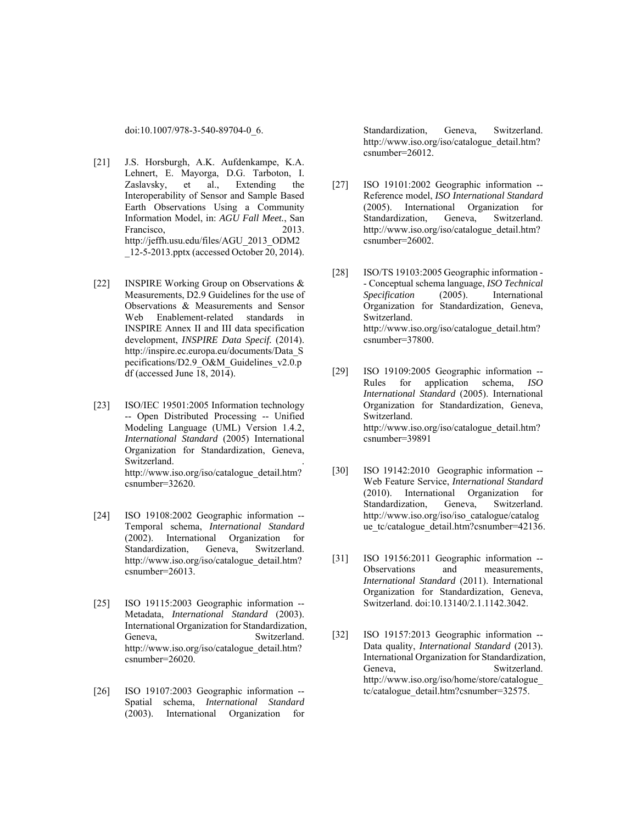- [21] J.S. Horsburgh, A.K. Aufdenkampe, K.A. Lehnert, E. Mayorga, D.G. Tarboton, I. Zaslavsky, et al., Extending the Interoperability of Sensor and Sample Based Earth Observations Using a Community Information Model, in: *AGU Fall Meet.*, San Francisco, 2013. http://jeffh.usu.edu/files/AGU\_2013\_ODM2 \_12-5-2013.pptx (accessed October 20, 2014).
- [22] INSPIRE Working Group on Observations & Measurements, D2.9 Guidelines for the use of Observations & Measurements and Sensor Web Enablement-related standards in INSPIRE Annex II and III data specification development, *INSPIRE Data Specif.* (2014). http://inspire.ec.europa.eu/documents/Data\_S pecifications/D2.9\_O&M\_Guidelines\_v2.0.p df (accessed June 18, 2014).
- [23] ISO/IEC 19501:2005 Information technology -- Open Distributed Processing -- Unified Modeling Language (UML) Version 1.4.2, *International Standard* (2005) International Organization for Standardization, Geneva, Switzerland. http://www.iso.org/iso/catalogue\_detail.htm? csnumber=32620.
- [24] ISO 19108:2002 Geographic information -- Temporal schema, *International Standard*  (2002). International Organization for Standardization, Geneva, Switzerland. http://www.iso.org/iso/catalogue\_detail.htm? csnumber=26013.
- [25] ISO 19115:2003 Geographic information -- Metadata, *International Standard* (2003). International Organization for Standardization, Geneva, Switzerland. http://www.iso.org/iso/catalogue\_detail.htm? csnumber=26020.
- [26] ISO 19107:2003 Geographic information -- Spatial schema, *International Standard*  (2003). International Organization for

Standardization, Geneva, Switzerland. http://www.iso.org/iso/catalogue\_detail.htm? csnumber=26012.

- [27] ISO 19101:2002 Geographic information -- Reference model, *ISO International Standard*  (2005). International Organization for Standardization, Geneva, Switzerland. http://www.iso.org/iso/catalogue\_detail.htm? csnumber=26002.
- [28] ISO/TS 19103:2005 Geographic information - Conceptual schema language, *ISO Technical Specification* (2005). International Organization for Standardization, Geneva, Switzerland. http://www.iso.org/iso/catalogue\_detail.htm? csnumber=37800.
- [29] ISO 19109:2005 Geographic information -- Rules for application schema, *ISO International Standard* (2005). International Organization for Standardization, Geneva, Switzerland. http://www.iso.org/iso/catalogue\_detail.htm? csnumber=39891
- [30] ISO 19142:2010 Geographic information --Web Feature Service, *International Standard*  (2010). International Organization for Standardization, Geneva, Switzerland. http://www.iso.org/iso/iso\_catalogue/catalog ue tc/catalogue detail.htm?csnumber=42136.
- [31] ISO 19156:2011 Geographic information -- Observations and measurements, *International Standard* (2011). International Organization for Standardization, Geneva, Switzerland. doi:10.13140/2.1.1142.3042.
- [32] ISO 19157:2013 Geographic information -- Data quality, *International Standard* (2013). International Organization for Standardization, Geneva, Switzerland. http://www.iso.org/iso/home/store/catalogue\_ tc/catalogue\_detail.htm?csnumber=32575.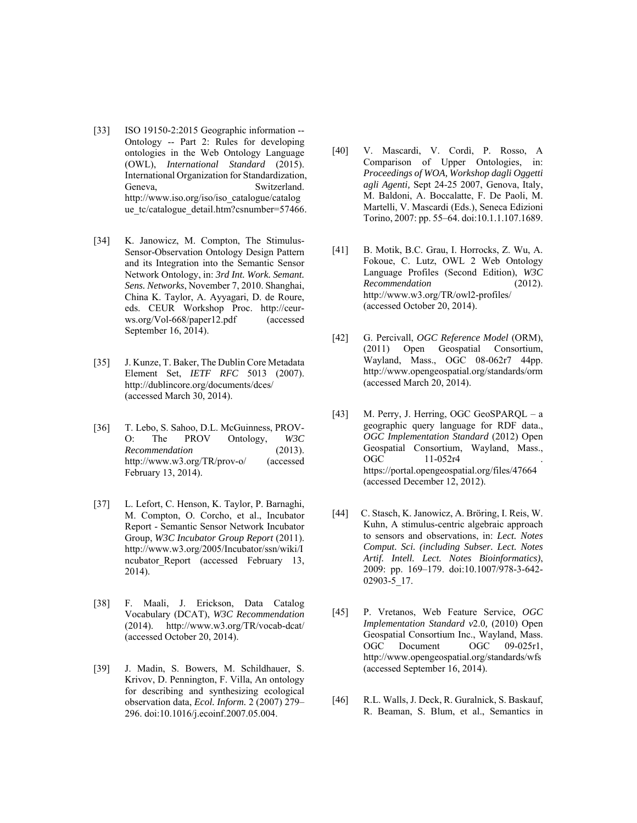- [33] ISO 19150-2:2015 Geographic information -- Ontology -- Part 2: Rules for developing ontologies in the Web Ontology Language (OWL), *International Standard* (2015). International Organization for Standardization, Geneva, Switzerland. http://www.iso.org/iso/iso\_catalogue/catalog ue\_tc/catalogue\_detail.htm?csnumber=57466.
- [34] K. Janowicz, M. Compton, The Stimulus-Sensor-Observation Ontology Design Pattern and its Integration into the Semantic Sensor Network Ontology, in: *3rd Int. Work. Semant. Sens. Networks*, November 7, 2010. Shanghai, China K. Taylor, A. Ayyagari, D. de Roure, eds. CEUR Workshop Proc. http://ceurws.org/Vol-668/paper12.pdf (accessed September 16, 2014).
- [35] J. Kunze, T. Baker, The Dublin Core Metadata Element Set, *IETF RFC* 5013 (2007). http://dublincore.org/documents/dces/ (accessed March 30, 2014).
- [36] T. Lebo, S. Sahoo, D.L. McGuinness, PROV-O: The PROV Ontology, *W3C Recommendation* (2013). http://www.w3.org/TR/prov-o/ (accessed February 13, 2014).
- [37] L. Lefort, C. Henson, K. Taylor, P. Barnaghi, M. Compton, O. Corcho, et al., Incubator Report - Semantic Sensor Network Incubator Group, *W3C Incubator Group Report* (2011). http://www.w3.org/2005/Incubator/ssn/wiki/I ncubator Report (accessed February 13, 2014).
- [38] F. Maali, J. Erickson, Data Catalog Vocabulary (DCAT), *W3C Recommendation*  (2014). http://www.w3.org/TR/vocab-dcat/ (accessed October 20, 2014).
- [39] J. Madin, S. Bowers, M. Schildhauer, S. Krivov, D. Pennington, F. Villa, An ontology for describing and synthesizing ecological observation data, *Ecol. Inform.* 2 (2007) 279– 296. doi:10.1016/j.ecoinf.2007.05.004.
- [40] V. Mascardi, V. Cordì, P. Rosso, A Comparison of Upper Ontologies, in: *Proceedings of WOA, Workshop dagli Oggetti agli Agenti,* Sept 24-25 2007, Genova, Italy, M. Baldoni, A. Boccalatte, F. De Paoli, M. Martelli, V. Mascardi (Eds.), Seneca Edizioni Torino, 2007: pp. 55–64. doi:10.1.1.107.1689.
- [41] B. Motik, B.C. Grau, I. Horrocks, Z. Wu, A. Fokoue, C. Lutz, OWL 2 Web Ontology Language Profiles (Second Edition), *W3C Recommendation* (2012). http://www.w3.org/TR/owl2-profiles/ (accessed October 20, 2014).
- [42] G. Percivall, *OGC Reference Model* (ORM), (2011) Open Geospatial Consortium, Wayland, Mass., OGC 08-062r7 44pp. http://www.opengeospatial.org/standards/orm (accessed March 20, 2014).
- [43] M. Perry, J. Herring, OGC GeoSPARQL a geographic query language for RDF data., *OGC Implementation Standard* (2012) Open Geospatial Consortium, Wayland, Mass., OGC 11-052r4 . https://portal.opengeospatial.org/files/47664 (accessed December 12, 2012).
- [44] C. Stasch, K. Janowicz, A. Bröring, I. Reis, W. Kuhn, A stimulus-centric algebraic approach to sensors and observations, in: *Lect. Notes Comput. Sci. (including Subser. Lect. Notes Artif. Intell. Lect. Notes Bioinformatics)*, 2009: pp. 169–179. doi:10.1007/978-3-642- 02903-5\_17.
- [45] P. Vretanos, Web Feature Service, *OGC Implementation Standard v*2.0*,* (2010) Open Geospatial Consortium Inc., Wayland, Mass. OGC Document OGC 09-025r1, http://www.opengeospatial.org/standards/wfs (accessed September 16, 2014).
- [46] R.L. Walls, J. Deck, R. Guralnick, S. Baskauf, R. Beaman, S. Blum, et al., Semantics in